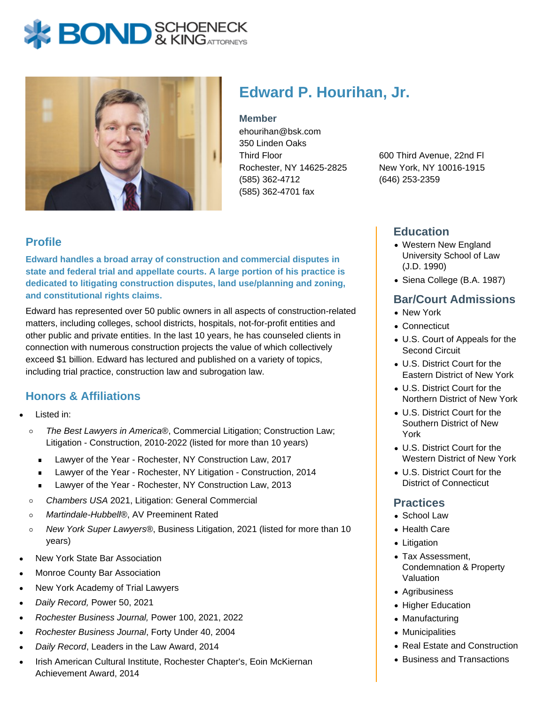# **BOND** & KINGATORNECK



# **Edward P. Hourihan, Jr.**

**Member**

ehourihan@bsk.com 350 Linden Oaks Third Floor Rochester, NY 14625-2825 (585) 362-4712 (585) 362-4701 fax

600 Third Avenue, 22nd Fl New York, NY 10016-1915 (646) 253-2359

### **Profile**

**Edward handles a broad array of construction and commercial disputes in state and federal trial and appellate courts. A large portion of his practice is dedicated to litigating construction disputes, land use/planning and zoning, and constitutional rights claims.**

Edward has represented over 50 public owners in all aspects of construction-related matters, including colleges, school districts, hospitals, not-for-profit entities and other public and private entities. In the last 10 years, he has counseled clients in connection with numerous construction projects the value of which collectively exceed \$1 billion. Edward has lectured and published on a variety of topics, including trial practice, construction law and subrogation law.

## **Honors & Affiliations**

- Listed in:
	- $\circ$ The Best Lawyers in America®, Commercial Litigation; Construction Law; Litigation - Construction, 2010-2022 (listed for more than 10 years)
		- Lawyer of the Year Rochester, NY Construction Law, 2017  $\blacksquare$
		- Lawyer of the Year Rochester, NY Litigation Construction, 2014  $\blacksquare$
		- **Lawyer of the Year Rochester, NY Construction Law, 2013**
	- Chambers USA 2021, Litigation: General Commercial  $\circ$
	- Martindale-Hubbell®, AV Preeminent Rated  $\circ$
	- New York Super Lawyers®, Business Litigation, 2021 (listed for more than 10  $\circ$ years)
- New York State Bar Association
- Monroe County Bar Association
- New York Academy of Trial Lawyers
- Daily Record, Power 50, 2021
- Rochester Business Journal, Power 100, 2021, 2022
- Rochester Business Journal, Forty Under 40, 2004
- Daily Record, Leaders in the Law Award, 2014
- Irish American Cultural Institute, Rochester Chapter's, Eoin McKiernan Achievement Award, 2014

#### **Education**

- Western New England University School of Law (J.D. 1990)
- Siena College (B.A. 1987)

#### **Bar/Court Admissions**

- New York
- Connecticut
- U.S. Court of Appeals for the Second Circuit
- U.S. District Court for the Eastern District of New York
- U.S. District Court for the Northern District of New York
- U.S. District Court for the Southern District of New York
- U.S. District Court for the Western District of New York
- U.S. District Court for the District of Connecticut

#### **Practices**

- School Law
- Health Care
- Litigation
- Tax Assessment, Condemnation & Property Valuation
- Agribusiness
- Higher Education
- Manufacturing
- Municipalities
- Real Estate and Construction
- Business and Transactions